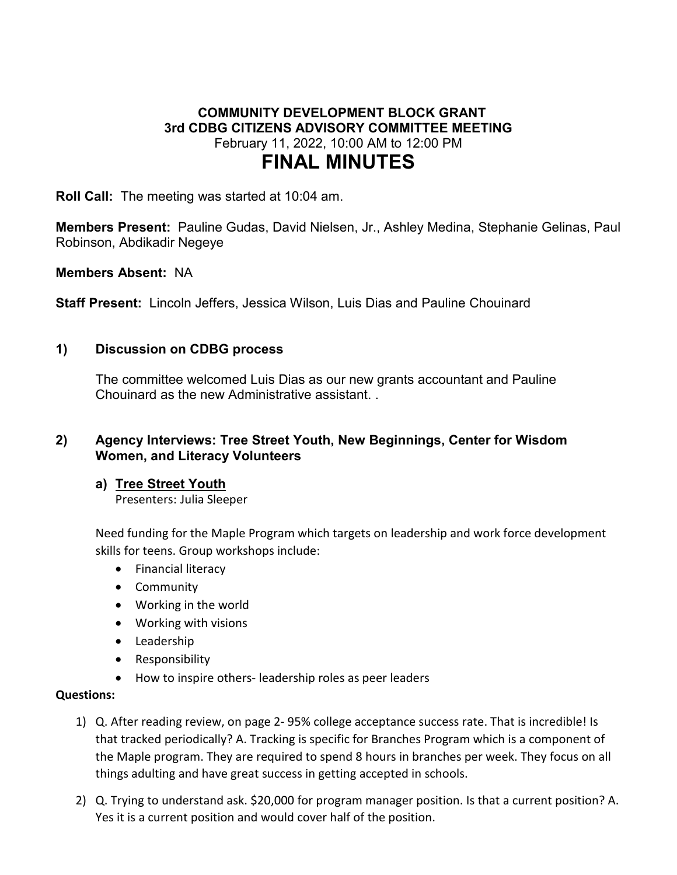## **COMMUNITY DEVELOPMENT BLOCK GRANT 3rd CDBG CITIZENS ADVISORY COMMITTEE MEETING** February 11, 2022, 10:00 AM to 12:00 PM **FINAL MINUTES**

**Roll Call:** The meeting was started at 10:04 am.

**Members Present:** Pauline Gudas, David Nielsen, Jr., Ashley Medina, Stephanie Gelinas, Paul Robinson, Abdikadir Negeye

**Members Absent:** NA

**Staff Present:** Lincoln Jeffers, Jessica Wilson, Luis Dias and Pauline Chouinard

### **1) Discussion on CDBG process**

The committee welcomed Luis Dias as our new grants accountant and Pauline Chouinard as the new Administrative assistant. .

### **2) Agency Interviews: Tree Street Youth, New Beginnings, Center for Wisdom Women, and Literacy Volunteers**

### **a) Tree Street Youth**

Presenters: Julia Sleeper

Need funding for the Maple Program which targets on leadership and work force development skills for teens. Group workshops include:

- Financial literacy
- Community
- Working in the world
- Working with visions
- Leadership
- Responsibility
- How to inspire others- leadership roles as peer leaders

#### **Questions:**

- 1) Q. After reading review, on page 2- 95% college acceptance success rate. That is incredible! Is that tracked periodically? A. Tracking is specific for Branches Program which is a component of the Maple program. They are required to spend 8 hours in branches per week. They focus on all things adulting and have great success in getting accepted in schools.
- 2) Q. Trying to understand ask. \$20,000 for program manager position. Is that a current position? A. Yes it is a current position and would cover half of the position.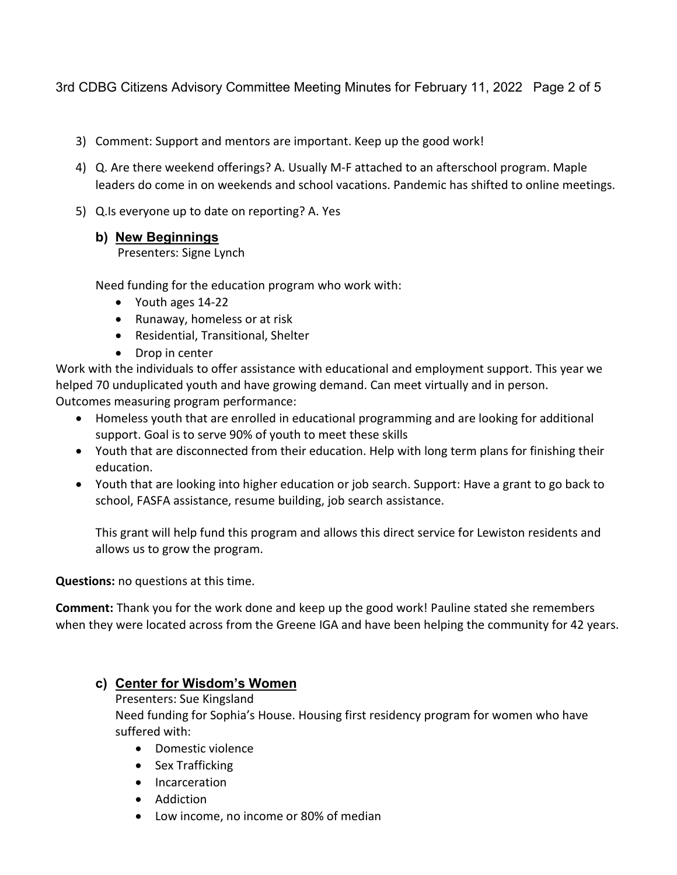3rd CDBG Citizens Advisory Committee Meeting Minutes for February 11, 2022 Page 2 of 5

- 3) Comment: Support and mentors are important. Keep up the good work!
- 4) Q. Are there weekend offerings? A. Usually M-F attached to an afterschool program. Maple leaders do come in on weekends and school vacations. Pandemic has shifted to online meetings.
- 5) Q.Is everyone up to date on reporting? A. Yes
	- **b) New Beginnings**

Presenters: Signe Lynch

Need funding for the education program who work with:

- Youth ages 14-22
- Runaway, homeless or at risk
- Residential, Transitional, Shelter
- Drop in center

Work with the individuals to offer assistance with educational and employment support. This year we helped 70 unduplicated youth and have growing demand. Can meet virtually and in person. Outcomes measuring program performance:

- Homeless youth that are enrolled in educational programming and are looking for additional support. Goal is to serve 90% of youth to meet these skills
- Youth that are disconnected from their education. Help with long term plans for finishing their education.
- Youth that are looking into higher education or job search. Support: Have a grant to go back to school, FASFA assistance, resume building, job search assistance.

This grant will help fund this program and allows this direct service for Lewiston residents and allows us to grow the program.

**Questions:** no questions at this time.

**Comment:** Thank you for the work done and keep up the good work! Pauline stated she remembers when they were located across from the Greene IGA and have been helping the community for 42 years.

# **c) Center for Wisdom's Women**

Presenters: Sue Kingsland Need funding for Sophia's House. Housing first residency program for women who have suffered with:

- Domestic violence
- Sex Trafficking
- Incarceration
- Addiction
- Low income, no income or 80% of median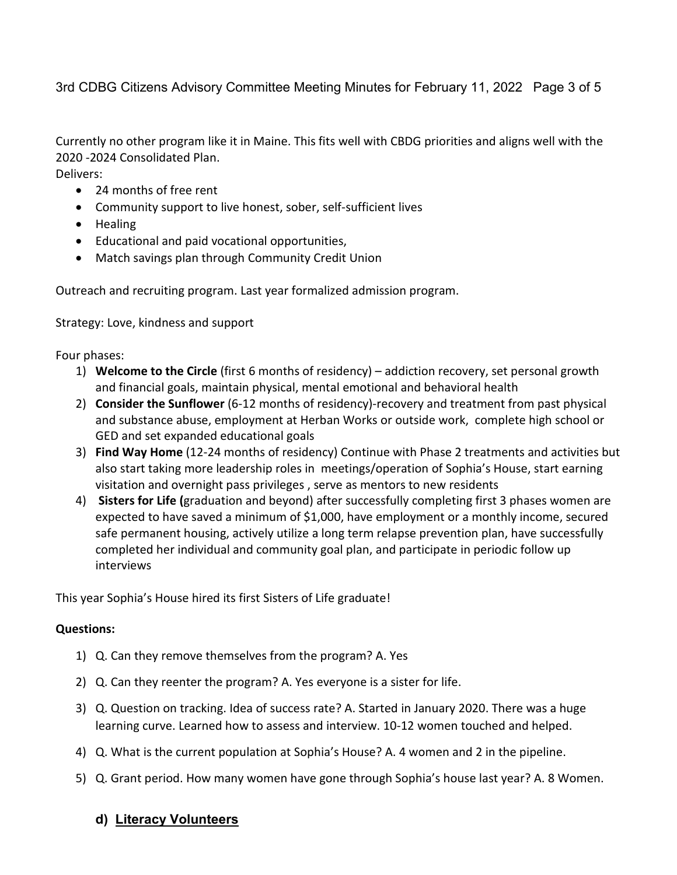3rd CDBG Citizens Advisory Committee Meeting Minutes for February 11, 2022 Page 3 of 5

Currently no other program like it in Maine. This fits well with CBDG priorities and aligns well with the 2020 -2024 Consolidated Plan.

Delivers:

- 24 months of free rent
- Community support to live honest, sober, self-sufficient lives
- Healing
- Educational and paid vocational opportunities,
- Match savings plan through Community Credit Union

Outreach and recruiting program. Last year formalized admission program.

Strategy: Love, kindness and support

Four phases:

- 1) **Welcome to the Circle** (first 6 months of residency) addiction recovery, set personal growth and financial goals, maintain physical, mental emotional and behavioral health
- 2) **Consider the Sunflower** (6-12 months of residency)-recovery and treatment from past physical and substance abuse, employment at Herban Works or outside work, complete high school or GED and set expanded educational goals
- 3) **Find Way Home** (12-24 months of residency) Continue with Phase 2 treatments and activities but also start taking more leadership roles in meetings/operation of Sophia's House, start earning visitation and overnight pass privileges , serve as mentors to new residents
- 4) **Sisters for Life (**graduation and beyond) after successfully completing first 3 phases women are expected to have saved a minimum of \$1,000, have employment or a monthly income, secured safe permanent housing, actively utilize a long term relapse prevention plan, have successfully completed her individual and community goal plan, and participate in periodic follow up interviews

This year Sophia's House hired its first Sisters of Life graduate!

### **Questions:**

- 1) Q. Can they remove themselves from the program? A. Yes
- 2) Q. Can they reenter the program? A. Yes everyone is a sister for life.
- 3) Q. Question on tracking. Idea of success rate? A. Started in January 2020. There was a huge learning curve. Learned how to assess and interview. 10-12 women touched and helped.
- 4) Q. What is the current population at Sophia's House? A. 4 women and 2 in the pipeline.
- 5) Q. Grant period. How many women have gone through Sophia's house last year? A. 8 Women.
	- **d) Literacy Volunteers**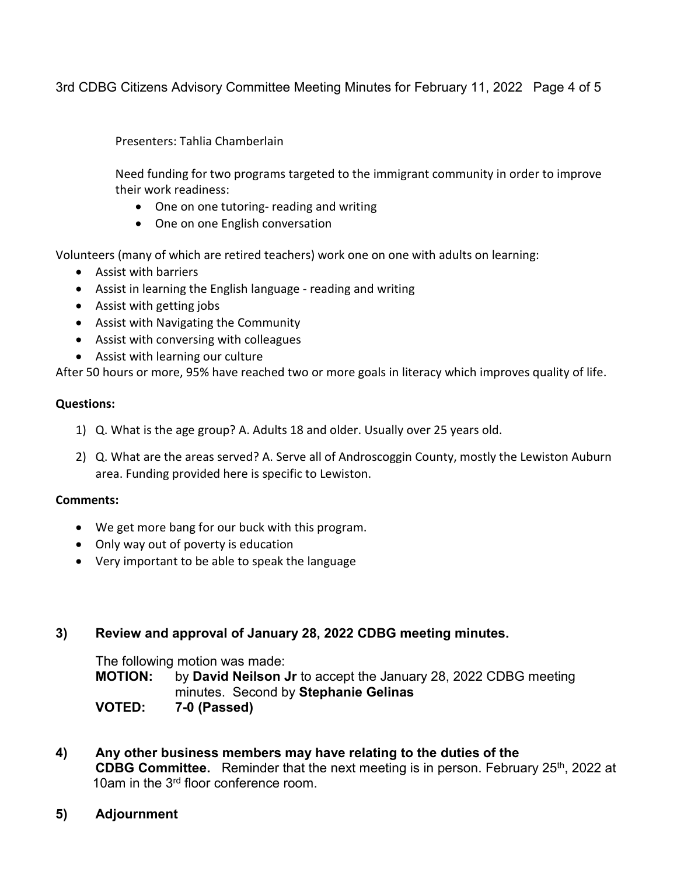3rd CDBG Citizens Advisory Committee Meeting Minutes for February 11, 2022 Page 4 of 5

Presenters: Tahlia Chamberlain

Need funding for two programs targeted to the immigrant community in order to improve their work readiness:

- One on one tutoring- reading and writing
- One on one English conversation

Volunteers (many of which are retired teachers) work one on one with adults on learning:

- Assist with barriers
- Assist in learning the English language reading and writing
- Assist with getting jobs
- Assist with Navigating the Community
- Assist with conversing with colleagues
- Assist with learning our culture

After 50 hours or more, 95% have reached two or more goals in literacy which improves quality of life.

#### **Questions:**

- 1) Q. What is the age group? A. Adults 18 and older. Usually over 25 years old.
- 2) Q. What are the areas served? A. Serve all of Androscoggin County, mostly the Lewiston Auburn area. Funding provided here is specific to Lewiston.

### **Comments:**

- We get more bang for our buck with this program.
- Only way out of poverty is education
- Very important to be able to speak the language

### **3) Review and approval of January 28, 2022 CDBG meeting minutes.**

The following motion was made: **MOTION:** by **David Neilson Jr** to accept the January 28, 2022 CDBG meeting minutes. Second by **Stephanie Gelinas VOTED: 7-0 (Passed)**

- **4) Any other business members may have relating to the duties of the CDBG Committee.** Reminder that the next meeting is in person. February 25<sup>th</sup>, 2022 at 10am in the 3<sup>rd</sup> floor conference room.
- **5) Adjournment**